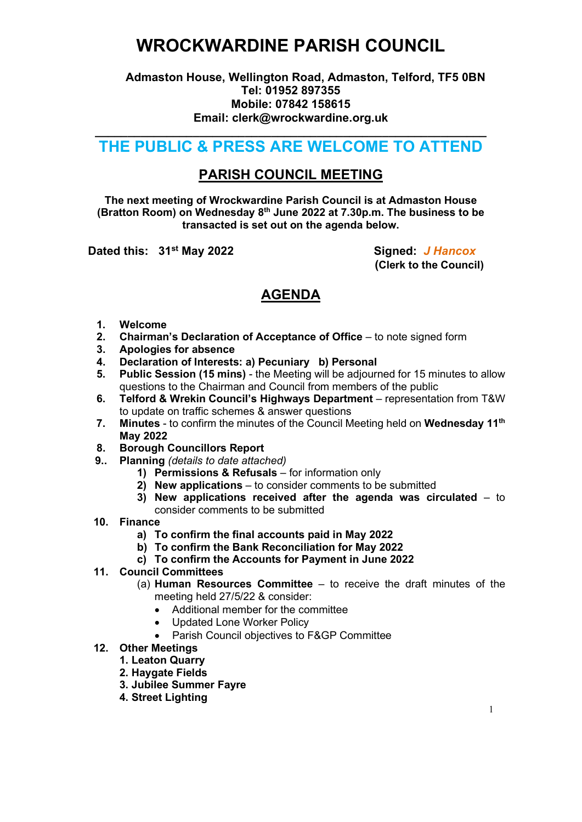## WROCKWARDINE PARISH COUNCIL

### Admaston House, Wellington Road, Admaston, Telford, TF5 0BN Tel: 01952 897355 Mobile: 07842 158615 Email: clerk@wrockwardine.org.uk

### \_\_\_\_\_\_\_\_\_\_\_\_\_\_\_\_\_\_\_\_\_\_\_\_\_\_\_\_\_\_\_\_\_\_\_\_\_\_\_\_\_\_\_\_\_\_\_\_\_\_\_\_\_\_\_\_\_\_\_\_ THE PUBLIC & PRESS ARE WELCOME TO ATTEND

## PARISH COUNCIL MEETING

The next meeting of Wrockwardine Parish Council is at Admaston House (Bratton Room) on Wednesday  $8<sup>th</sup>$  June 2022 at 7.30p.m. The business to be transacted is set out on the agenda below.

Dated this: 31<sup>st</sup> May 2022 Signed: J Hancox

(Clerk to the Council)

## AGENDA

- 1. Welcome
- 2. Chairman's Declaration of Acceptance of Office to note signed form
- 3. Apologies for absence<br>4. Declaration of Interests
- Declaration of Interests: a) Pecuniary b) Personal
- 5. Public Session (15 mins) the Meeting will be adjourned for 15 minutes to allow questions to the Chairman and Council from members of the public
- 6. Telford & Wrekin Council's Highways Department representation from T&W to update on traffic schemes & answer questions
- 7. Minutes to confirm the minutes of the Council Meeting held on Wednesday 11<sup>th</sup> May 2022
- 8. Borough Councillors Report
- 9.. Planning (details to date attached)
	- 1) Permissions & Refusals for information only
	- 2) New applications to consider comments to be submitted
	- 3) New applications received after the agenda was circulated to consider comments to be submitted
- 10. Finance
	- a) To confirm the final accounts paid in May 2022
	- b) To confirm the Bank Reconciliation for May 2022
	- c) To confirm the Accounts for Payment in June 2022
- 11. Council Committees
	- (a) Human Resources Committee  $-$  to receive the draft minutes of the meeting held 27/5/22 & consider:
		- Additional member for the committee
		- Updated Lone Worker Policy
		- Parish Council objectives to F&GP Committee

### 12. Other Meetings

- 1. Leaton Quarry
- 2. Haygate Fields
- 3. Jubilee Summer Fayre
- 4. Street Lighting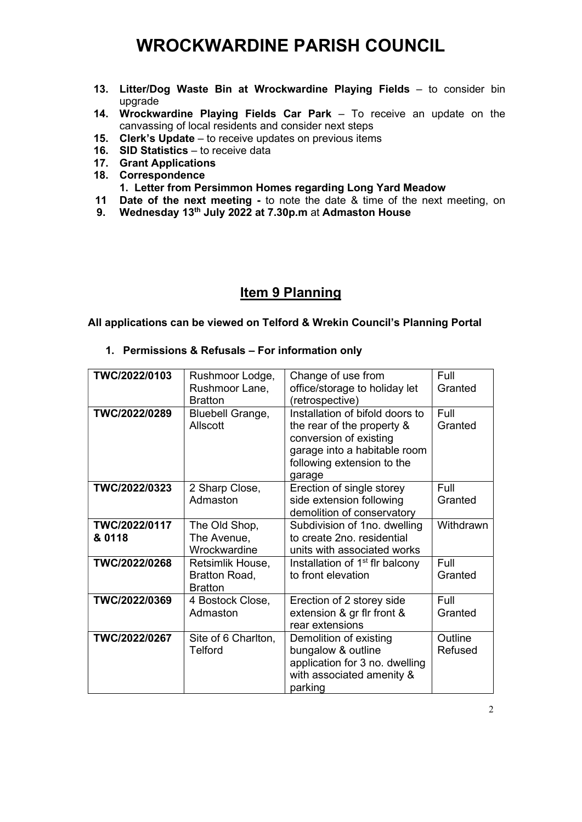# WROCKWARDINE PARISH COUNCIL

- 13. Litter/Dog Waste Bin at Wrockwardine Playing Fields to consider bin upgrade
- 14. Wrockwardine Playing Fields Car Park To receive an update on the canvassing of local residents and consider next steps
- 15. Clerk's Update to receive updates on previous items
- 16. SID Statistics to receive data
- 17. Grant Applications
- 18. Correspondence
	- 1. Letter from Persimmon Homes regarding Long Yard Meadow
- **11 Date of the next meeting -** to note the date & time of the next meeting, on
- 9. Wednesday 13<sup>th</sup> July 2022 at 7.30p.m at Admaston House

## Item 9 Planning

#### All applications can be viewed on Telford & Wrekin Council's Planning Portal

#### 1. Permissions & Refusals – For information only

| TWC/2022/0103           | Rushmoor Lodge,                                     | Change of use from                                                                                                                                              | Full               |
|-------------------------|-----------------------------------------------------|-----------------------------------------------------------------------------------------------------------------------------------------------------------------|--------------------|
|                         | Rushmoor Lane,<br><b>Bratton</b>                    | office/storage to holiday let<br>(retrospective)                                                                                                                | Granted            |
| TWC/2022/0289           | <b>Bluebell Grange,</b><br>Allscott                 | Installation of bifold doors to<br>the rear of the property &<br>conversion of existing<br>garage into a habitable room<br>following extension to the<br>garage | Full<br>Granted    |
| TWC/2022/0323           | 2 Sharp Close,<br>Admaston                          | Erection of single storey<br>side extension following<br>demolition of conservatory                                                                             | Full<br>Granted    |
| TWC/2022/0117<br>& 0118 | The Old Shop,<br>The Avenue,<br>Wrockwardine        | Subdivision of 1no. dwelling<br>to create 2no. residential<br>units with associated works                                                                       | Withdrawn          |
| TWC/2022/0268           | Retsimlik House,<br>Bratton Road,<br><b>Bratton</b> | Installation of 1 <sup>st</sup> flr balcony<br>to front elevation                                                                                               | Full<br>Granted    |
| TWC/2022/0369           | 4 Bostock Close,<br>Admaston                        | Erection of 2 storey side<br>extension & gr fir front &<br>rear extensions                                                                                      | Full<br>Granted    |
| TWC/2022/0267           | Site of 6 Charlton,<br>Telford                      | Demolition of existing<br>bungalow & outline<br>application for 3 no. dwelling<br>with associated amenity &<br>parking                                          | Outline<br>Refused |